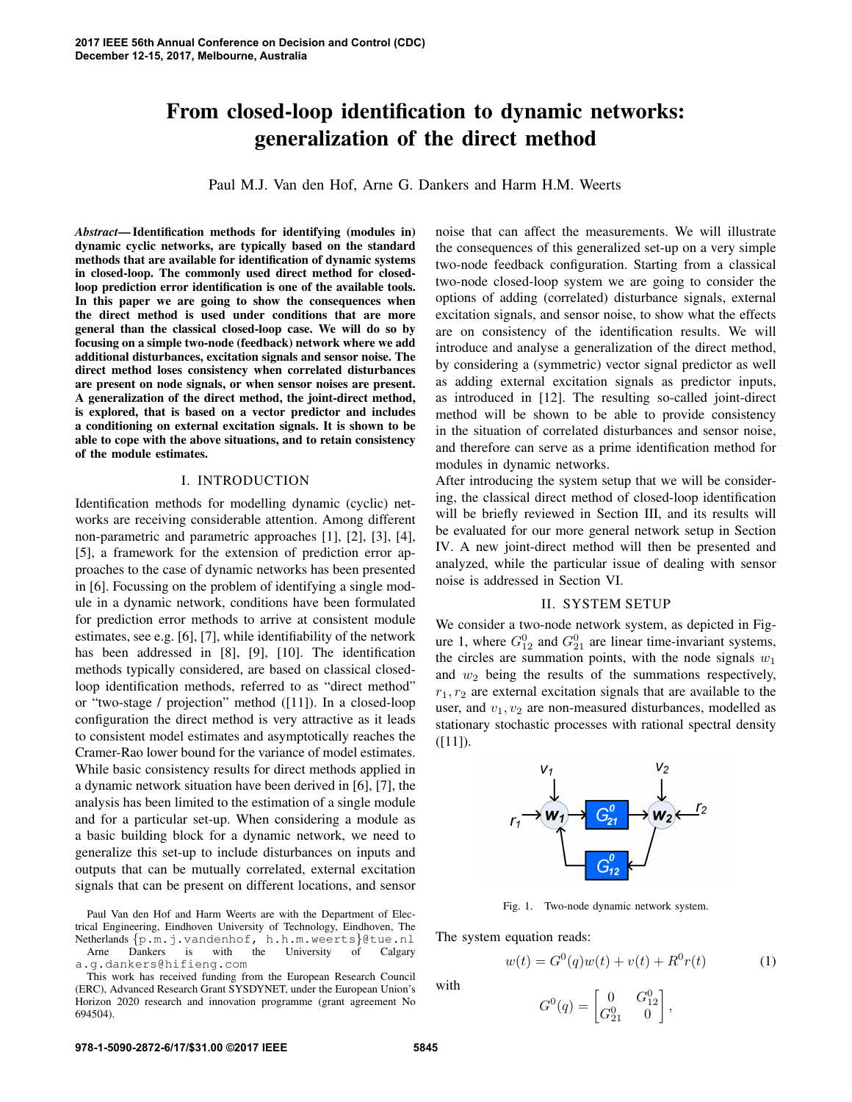# From closed-loop identification to dynamic networks: generalization of the direct method

Paul M.J. Van den Hof, Arne G. Dankers and Harm H.M. Weerts

*Abstract*— Identification methods for identifying (modules in) dynamic cyclic networks, are typically based on the standard methods that are available for identification of dynamic systems in closed-loop. The commonly used direct method for closedloop prediction error identification is one of the available tools. In this paper we are going to show the consequences when the direct method is used under conditions that are more general than the classical closed-loop case. We will do so by focusing on a simple two-node (feedback) network where we add additional disturbances, excitation signals and sensor noise. The direct method loses consistency when correlated disturbances are present on node signals, or when sensor noises are present. A generalization of the direct method, the joint-direct method, is explored, that is based on a vector predictor and includes a conditioning on external excitation signals. It is shown to be able to cope with the above situations, and to retain consistency of the module estimates.

#### I. INTRODUCTION

Identification methods for modelling dynamic (cyclic) networks are receiving considerable attention. Among different non-parametric and parametric approaches [1], [2], [3], [4], [5], a framework for the extension of prediction error approaches to the case of dynamic networks has been presented in [6]. Focussing on the problem of identifying a single module in a dynamic network, conditions have been formulated for prediction error methods to arrive at consistent module estimates, see e.g. [6], [7], while identifiability of the network has been addressed in [8], [9], [10]. The identification methods typically considered, are based on classical closedloop identification methods, referred to as "direct method" or "two-stage / projection" method ([11]). In a closed-loop configuration the direct method is very attractive as it leads to consistent model estimates and asymptotically reaches the Cramer-Rao lower bound for the variance of model estimates. While basic consistency results for direct methods applied in a dynamic network situation have been derived in [6], [7], the analysis has been limited to the estimation of a single module and for a particular set-up. When considering a module as a basic building block for a dynamic network, we need to generalize this set-up to include disturbances on inputs and outputs that can be mutually correlated, external excitation signals that can be present on different locations, and sensor

Paul Van den Hof and Harm Weerts are with the Department of Electrical Engineering, Eindhoven University of Technology, Eindhoven, The Netherlands {p.m.j.vandenhof, h.h.m.weerts}@tue.nl Arne Dankers is with the University of Calgary a.g.dankers@hifieng.com

This work has received funding from the European Research Council (ERC), Advanced Research Grant SYSDYNET, under the European Union's Horizon 2020 research and innovation programme (grant agreement No 694504).

noise that can affect the measurements. We will illustrate the consequences of this generalized set-up on a very simple two-node feedback configuration. Starting from a classical two-node closed-loop system we are going to consider the options of adding (correlated) disturbance signals, external excitation signals, and sensor noise, to show what the effects are on consistency of the identification results. We will introduce and analyse a generalization of the direct method, by considering a (symmetric) vector signal predictor as well as adding external excitation signals as predictor inputs, as introduced in [12]. The resulting so-called joint-direct method will be shown to be able to provide consistency in the situation of correlated disturbances and sensor noise, and therefore can serve as a prime identification method for modules in dynamic networks.

After introducing the system setup that we will be considering, the classical direct method of closed-loop identification will be briefly reviewed in Section III, and its results will be evaluated for our more general network setup in Section IV. A new joint-direct method will then be presented and analyzed, while the particular issue of dealing with sensor noise is addressed in Section VI.

## II. SYSTEM SETUP

We consider a two-node network system, as depicted in Figure 1, where  $G_{12}^0$  and  $G_{21}^0$  are linear time-invariant systems, the circles are summation points, with the node signals  $w_1$ and  $w_2$  being the results of the summations respectively,  $r_1, r_2$  are external excitation signals that are available to the user, and  $v_1, v_2$  are non-measured disturbances, modelled as stationary stochastic processes with rational spectral density  $([11])$ .



Fig. 1. Two-node dynamic network system.

The system equation reads:

$$
w(t) = G^{0}(q)w(t) + v(t) + R^{0}r(t)
$$
 (1)

with

$$
G^{0}(q) = \begin{bmatrix} 0 & G_{12}^{0} \\ G_{21}^{0} & 0 \end{bmatrix},
$$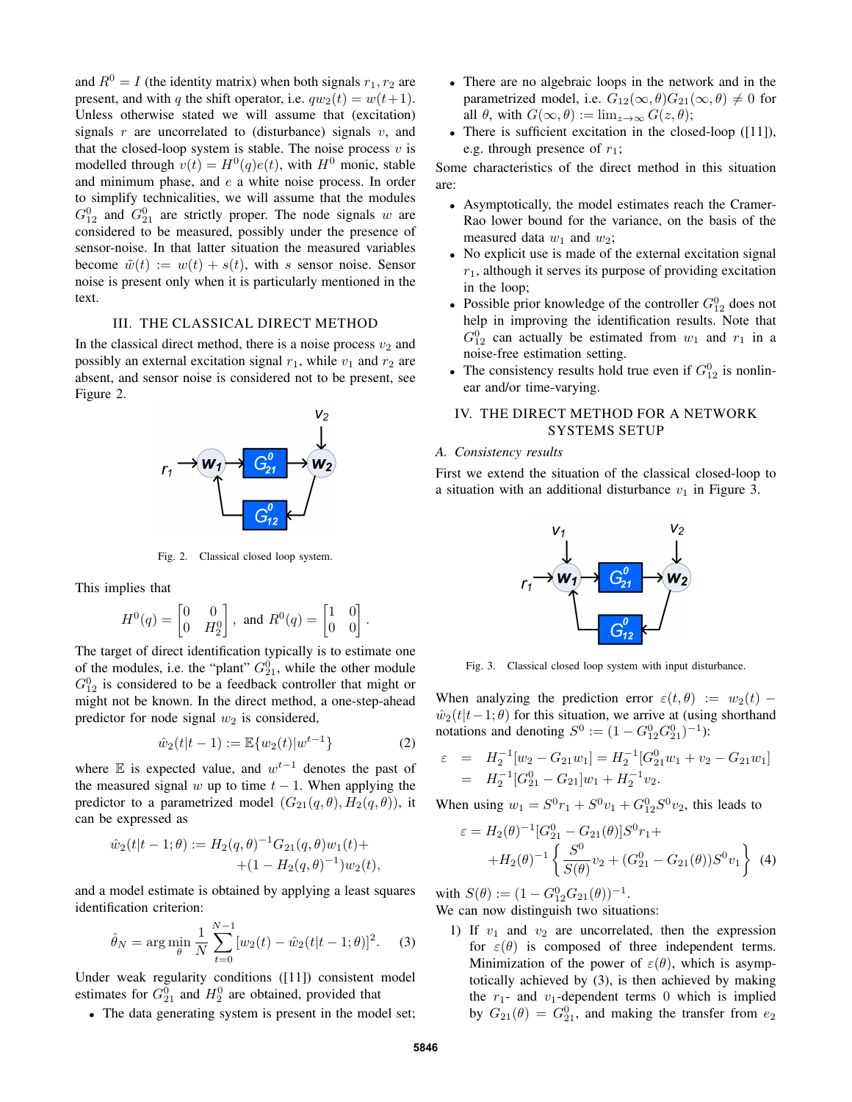and  $R^0 = I$  (the identity matrix) when both signals  $r_1, r_2$  are present, and with q the shift operator, i.e.  $qw_2(t) = w(t+1)$ . Unless otherwise stated we will assume that (excitation) signals r are uncorrelated to (disturbance) signals v, and that the closed-loop system is stable. The noise process  $v$  is modelled through  $v(t) = H^0(q)e(t)$ , with  $H^0$  monic, stable and minimum phase, and e a white noise process. In order to simplify technicalities, we will assume that the modules  $G_{12}^0$  and  $G_{21}^0$  are strictly proper. The node signals w are considered to be measured, possibly under the presence of sensor-noise. In that latter situation the measured variables become  $\tilde{w}(t) := w(t) + s(t)$ , with s sensor noise. Sensor noise is present only when it is particularly mentioned in the text.

## III. THE CLASSICAL DIRECT METHOD

In the classical direct method, there is a noise process  $v_2$  and possibly an external excitation signal  $r_1$ , while  $v_1$  and  $r_2$  are absent, and sensor noise is considered not to be present, see Figure 2.



Fig. 2. Classical closed loop system.

This implies that

$$
H^0(q) = \begin{bmatrix} 0 & 0 \\ 0 & H_2^0 \end{bmatrix}, \text{ and } R^0(q) = \begin{bmatrix} 1 & 0 \\ 0 & 0 \end{bmatrix}.
$$

The target of direct identification typically is to estimate one of the modules, i.e. the "plant"  $G_{21}^0$ , while the other module  $G_{12}^0$  is considered to be a feedback controller that might or might not be known. In the direct method, a one-step-ahead predictor for node signal  $w_2$  is considered,

$$
\hat{w}_2(t|t-1) := \mathbb{E}\{w_2(t)|w^{t-1}\}\tag{2}
$$

where  $E$  is expected value, and  $w^{t-1}$  denotes the past of the measured signal w up to time  $t - 1$ . When applying the predictor to a parametrized model  $(G_{21}(q, \theta), H_2(q, \theta))$ , it can be expressed as

$$
\hat{w}_2(t|t-1;\theta) := H_2(q,\theta)^{-1} G_{21}(q,\theta) w_1(t) + (1 - H_2(q,\theta)^{-1}) w_2(t),
$$

and a model estimate is obtained by applying a least squares identification criterion:

$$
\hat{\theta}_N = \arg\min_{\theta} \frac{1}{N} \sum_{t=0}^{N-1} [w_2(t) - \hat{w}_2(t|t-1;\theta)]^2.
$$
 (3)

Under weak regularity conditions ([11]) consistent model estimates for  $G_{21}^0$  and  $H_2^0$  are obtained, provided that

• The data generating system is present in the model set;

- There are no algebraic loops in the network and in the parametrized model, i.e.  $G_{12}(\infty, \theta)G_{21}(\infty, \theta) \neq 0$  for all  $\theta$ , with  $G(\infty, \theta) := \lim_{z \to \infty} G(z, \theta)$ ;
- There is sufficient excitation in the closed-loop ([11]), e.g. through presence of  $r_1$ ;

Some characteristics of the direct method in this situation are:

- Asymptotically, the model estimates reach the Cramer-Rao lower bound for the variance, on the basis of the measured data  $w_1$  and  $w_2$ ;
- No explicit use is made of the external excitation signal  $r_1$ , although it serves its purpose of providing excitation in the loop;
- Possible prior knowledge of the controller  $G_{12}^0$  does not help in improving the identification results. Note that  $G_{12}^0$  can actually be estimated from  $w_1$  and  $r_1$  in a noise-free estimation setting.
- The consistency results hold true even if  $G_{12}^0$  is nonlinear and/or time-varying.

## IV. THE DIRECT METHOD FOR A NETWORK SYSTEMS SETUP

### *A. Consistency results*

First we extend the situation of the classical closed-loop to a situation with an additional disturbance  $v_1$  in Figure 3.



Fig. 3. Classical closed loop system with input disturbance.

When analyzing the prediction error  $\varepsilon(t, \theta) := w_2(t)$  –  $\hat{w}_2(t|t-1;\theta)$  for this situation, we arrive at (using shorthand notations and denoting  $S^0 := (1 - G_{12}^0 G_{21}^0)^{-1}$ :

$$
\varepsilon = H_2^{-1}[w_2 - G_{21}w_1] = H_2^{-1}[G_{21}^0 w_1 + v_2 - G_{21}w_1]
$$
  
=  $H_2^{-1}[G_{21}^0 - G_{21}]w_1 + H_2^{-1}v_2$ .

When using  $w_1 = S^0 r_1 + S^0 v_1 + G_{12}^0 S^0 v_2$ , this leads to

$$
\varepsilon = H_2(\theta)^{-1} [G_{21}^0 - G_{21}(\theta)] S^0 r_1 +
$$
  
+ 
$$
H_2(\theta)^{-1} \left\{ \frac{S^0}{S(\theta)} v_2 + (G_{21}^0 - G_{21}(\theta)) S^0 v_1 \right\}
$$
 (4)

with  $S(\theta) := (1 - G_{12}^0 G_{21}(\theta))^{-1}$ . We can now distinguish two situations:

1) If  $v_1$  and  $v_2$  are uncorrelated, then the expression for  $\varepsilon(\theta)$  is composed of three independent terms. Minimization of the power of  $\varepsilon(\theta)$ , which is asymptotically achieved by (3), is then achieved by making the  $r_1$ - and  $v_1$ -dependent terms 0 which is implied by  $G_{21}(\theta) = G_{21}^0$ , and making the transfer from  $e_2$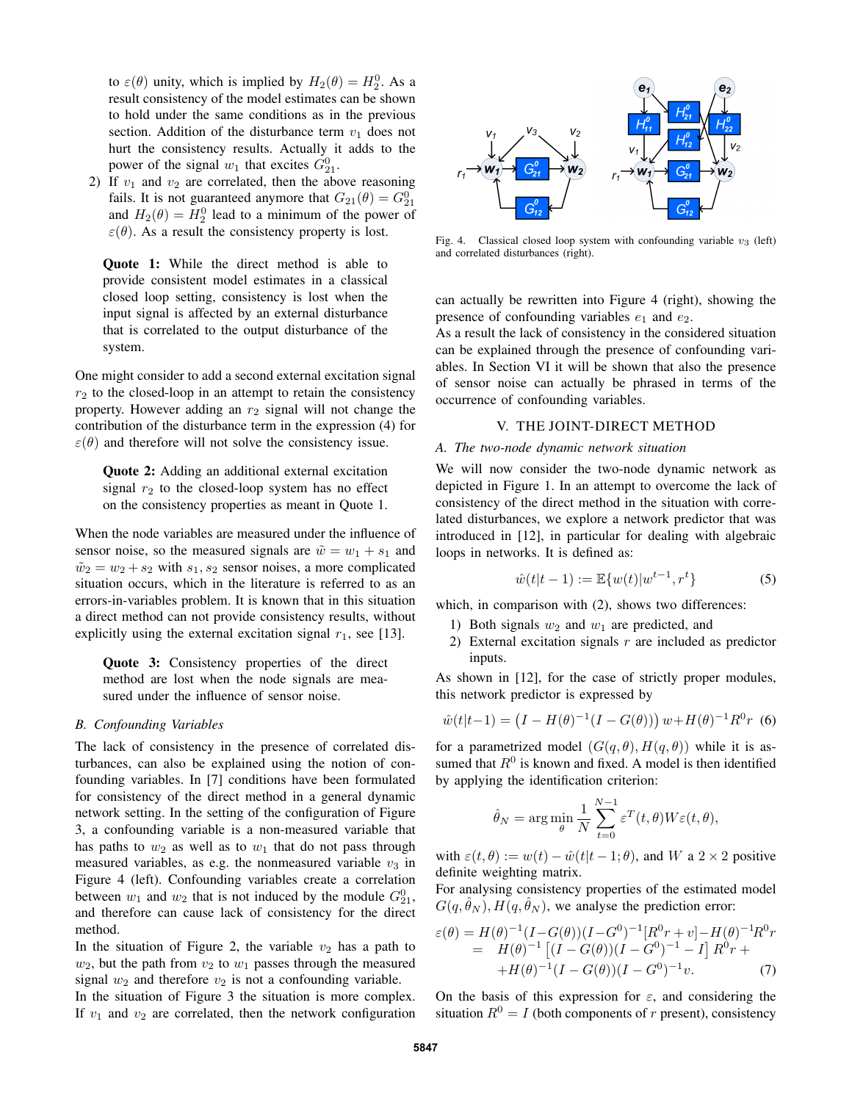to  $\varepsilon(\theta)$  unity, which is implied by  $H_2(\theta) = H_2^0$ . As a result consistency of the model estimates can be shown to hold under the same conditions as in the previous section. Addition of the disturbance term  $v_1$  does not hurt the consistency results. Actually it adds to the power of the signal  $w_1$  that excites  $G_{21}^0$ .

2) If  $v_1$  and  $v_2$  are correlated, then the above reasoning fails. It is not guaranteed anymore that  $G_{21}(\theta) = G_{21}^0$ and  $H_2(\theta) = H_2^0$  lead to a minimum of the power of  $\varepsilon(\theta)$ . As a result the consistency property is lost.

Quote 1: While the direct method is able to provide consistent model estimates in a classical closed loop setting, consistency is lost when the input signal is affected by an external disturbance that is correlated to the output disturbance of the system.

One might consider to add a second external excitation signal  $r<sub>2</sub>$  to the closed-loop in an attempt to retain the consistency property. However adding an  $r_2$  signal will not change the contribution of the disturbance term in the expression (4) for  $\varepsilon(\theta)$  and therefore will not solve the consistency issue.

Quote 2: Adding an additional external excitation signal  $r_2$  to the closed-loop system has no effect on the consistency properties as meant in Quote 1.

When the node variables are measured under the influence of sensor noise, so the measured signals are  $\tilde{w} = w_1 + s_1$  and  $\tilde{w}_2 = w_2 + s_2$  with  $s_1, s_2$  sensor noises, a more complicated situation occurs, which in the literature is referred to as an errors-in-variables problem. It is known that in this situation a direct method can not provide consistency results, without explicitly using the external excitation signal  $r_1$ , see [13].

Quote 3: Consistency properties of the direct method are lost when the node signals are measured under the influence of sensor noise.

## *B. Confounding Variables*

The lack of consistency in the presence of correlated disturbances, can also be explained using the notion of confounding variables. In [7] conditions have been formulated for consistency of the direct method in a general dynamic network setting. In the setting of the configuration of Figure 3, a confounding variable is a non-measured variable that has paths to  $w_2$  as well as to  $w_1$  that do not pass through measured variables, as e.g. the nonmeasured variable  $v_3$  in Figure 4 (left). Confounding variables create a correlation between  $w_1$  and  $w_2$  that is not induced by the module  $G_{21}^0$ , and therefore can cause lack of consistency for the direct method.

In the situation of Figure 2, the variable  $v_2$  has a path to  $w_2$ , but the path from  $v_2$  to  $w_1$  passes through the measured signal  $w_2$  and therefore  $v_2$  is not a confounding variable.

In the situation of Figure 3 the situation is more complex. If  $v_1$  and  $v_2$  are correlated, then the network configuration



Fig. 4. Classical closed loop system with confounding variable  $v_3$  (left) and correlated disturbances (right).

can actually be rewritten into Figure 4 (right), showing the presence of confounding variables  $e_1$  and  $e_2$ .

As a result the lack of consistency in the considered situation can be explained through the presence of confounding variables. In Section VI it will be shown that also the presence of sensor noise can actually be phrased in terms of the occurrence of confounding variables.

### V. THE JOINT-DIRECT METHOD

#### *A. The two-node dynamic network situation*

We will now consider the two-node dynamic network as depicted in Figure 1. In an attempt to overcome the lack of consistency of the direct method in the situation with correlated disturbances, we explore a network predictor that was introduced in [12], in particular for dealing with algebraic loops in networks. It is defined as:

$$
\hat{w}(t|t-1) := \mathbb{E}\{w(t)|w^{t-1}, r^t\} \tag{5}
$$

which, in comparison with  $(2)$ , shows two differences:

- 1) Both signals  $w_2$  and  $w_1$  are predicted, and
- 2) External excitation signals  $r$  are included as predictor inputs.

As shown in [12], for the case of strictly proper modules, this network predictor is expressed by

$$
\hat{w}(t|t-1) = (I - H(\theta)^{-1}(I - G(\theta))) w + H(\theta)^{-1} R^0 r
$$
 (6)

for a parametrized model  $(G(q, \theta), H(q, \theta))$  while it is assumed that  $R^0$  is known and fixed. A model is then identified by applying the identification criterion:

$$
\hat{\theta}_N = \arg\min_{\theta} \frac{1}{N} \sum_{t=0}^{N-1} \varepsilon^T(t, \theta) W \varepsilon(t, \theta),
$$

with  $\varepsilon(t, \theta) := w(t) - \hat{w}(t|t-1; \theta)$ , and W a  $2 \times 2$  positive definite weighting matrix.

For analysing consistency properties of the estimated model  $G(q, \hat{\theta}_N), H(q, \hat{\theta}_N)$ , we analyse the prediction error:

$$
\varepsilon(\theta) = H(\theta)^{-1} (I - G(\theta))(I - G^0)^{-1} [R^0 r + v] - H(\theta)^{-1} R^0 r \n= H(\theta)^{-1} [(I - G(\theta))(I - G^0)^{-1} - I] R^0 r +\n+ H(\theta)^{-1} (I - G(\theta))(I - G^0)^{-1} v.
$$
\n(7)

On the basis of this expression for  $\varepsilon$ , and considering the situation  $R^0 = I$  (both components of r present), consistency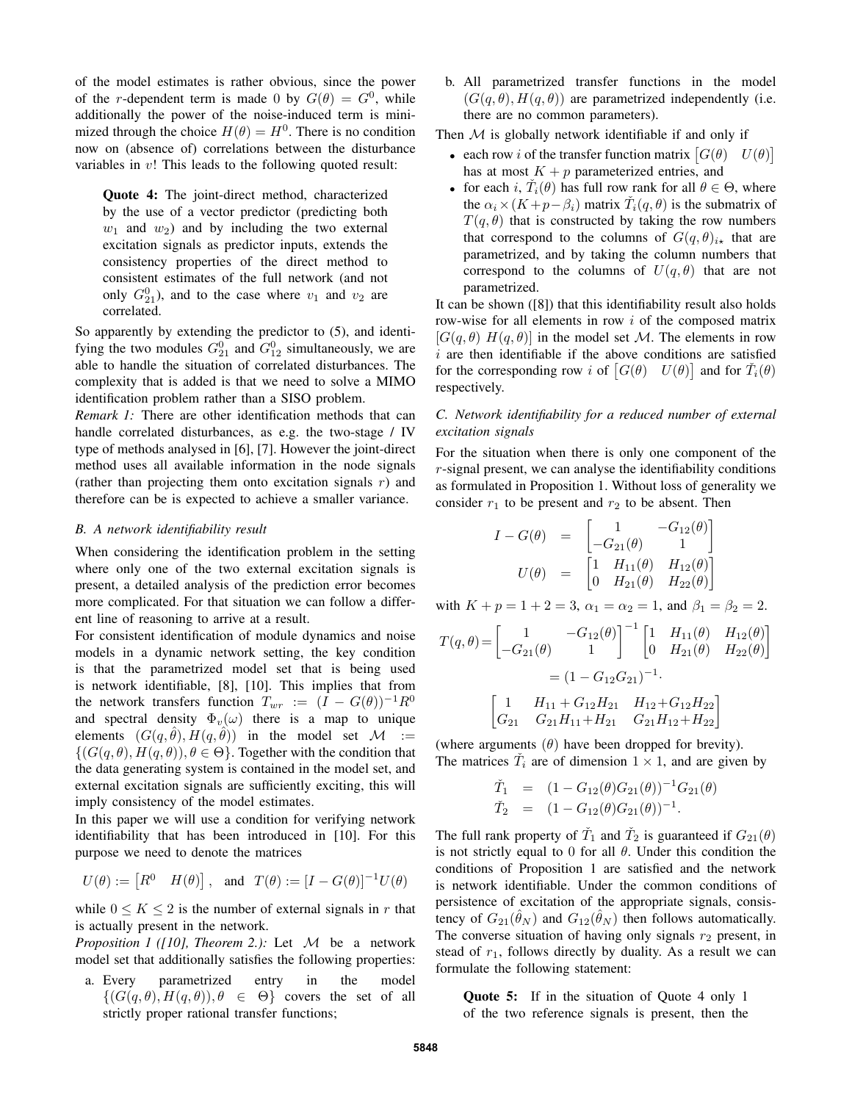of the model estimates is rather obvious, since the power of the r-dependent term is made 0 by  $G(\theta) = G^0$ , while additionally the power of the noise-induced term is minimized through the choice  $H(\theta) = H^0$ . There is no condition now on (absence of) correlations between the disturbance variables in  $v$ ! This leads to the following quoted result:

Quote 4: The joint-direct method, characterized by the use of a vector predictor (predicting both  $w_1$  and  $w_2$ ) and by including the two external excitation signals as predictor inputs, extends the consistency properties of the direct method to consistent estimates of the full network (and not only  $G_{21}^0$ ), and to the case where  $v_1$  and  $v_2$  are correlated.

So apparently by extending the predictor to (5), and identifying the two modules  $G_{21}^0$  and  $G_{12}^0$  simultaneously, we are able to handle the situation of correlated disturbances. The complexity that is added is that we need to solve a MIMO identification problem rather than a SISO problem.

*Remark 1:* There are other identification methods that can handle correlated disturbances, as e.g. the two-stage / IV type of methods analysed in [6], [7]. However the joint-direct method uses all available information in the node signals (rather than projecting them onto excitation signals  $r$ ) and therefore can be is expected to achieve a smaller variance.

## *B. A network identifiability result*

When considering the identification problem in the setting where only one of the two external excitation signals is present, a detailed analysis of the prediction error becomes more complicated. For that situation we can follow a different line of reasoning to arrive at a result.

For consistent identification of module dynamics and noise models in a dynamic network setting, the key condition is that the parametrized model set that is being used is network identifiable, [8], [10]. This implies that from the network transfers function  $T_{wr} := (I - G(\theta))^{-1}R^0$ and spectral density  $\Phi_v(\omega)$  there is a map to unique elements  $(G(q, \hat{\theta}), H(q, \hat{\theta}))$  in the model set  $\mathcal{M} :=$  $\{(G(q, \theta), H(q, \theta)), \theta \in \Theta\}$ . Together with the condition that the data generating system is contained in the model set, and external excitation signals are sufficiently exciting, this will imply consistency of the model estimates.

In this paper we will use a condition for verifying network identifiability that has been introduced in [10]. For this purpose we need to denote the matrices

$$
U(\theta) := \begin{bmatrix} R^0 & H(\theta) \end{bmatrix}, \text{ and } T(\theta) := [I - G(\theta)]^{-1} U(\theta)
$$

while  $0 \leq K \leq 2$  is the number of external signals in r that is actually present in the network.

*Proposition 1 ([10], Theorem 2.):* Let M be a network model set that additionally satisfies the following properties:

a. Every parametrized entry in the model  $\{(G(q, \theta), H(q, \theta)), \theta \in \Theta\}$  covers the set of all strictly proper rational transfer functions;

b. All parametrized transfer functions in the model  $(G(q, \theta), H(q, \theta))$  are parametrized independently (i.e. there are no common parameters).

Then  $M$  is globally network identifiable if and only if

- each row *i* of the transfer function matrix  $[G(\theta) \quad U(\theta)]$ has at most  $K + p$  parameterized entries, and
- for each i,  $\check{T}_i(\theta)$  has full row rank for all  $\theta \in \Theta$ , where the  $\alpha_i \times (K + p - \beta_i)$  matrix  $\check{T}_i(q, \theta)$  is the submatrix of  $T(q, \theta)$  that is constructed by taking the row numbers that correspond to the columns of  $G(q, \theta)_{i\star}$  that are parametrized, and by taking the column numbers that correspond to the columns of  $U(q, \theta)$  that are not parametrized.

It can be shown ([8]) that this identifiability result also holds row-wise for all elements in row  $i$  of the composed matrix  $[G(q, \theta) H(q, \theta)]$  in the model set M. The elements in row  $i$  are then identifiable if the above conditions are satisfied for the corresponding row i of  $[G(\theta) \quad U(\theta)]$  and for  $\tilde{T}_i(\theta)$ respectively.

## *C. Network identifiability for a reduced number of external excitation signals*

For the situation when there is only one component of the r-signal present, we can analyse the identifiability conditions as formulated in Proposition 1. Without loss of generality we consider  $r_1$  to be present and  $r_2$  to be absent. Then

$$
I - G(\theta) = \begin{bmatrix} 1 & -G_{12}(\theta) \\ -G_{21}(\theta) & 1 \end{bmatrix}
$$
  

$$
U(\theta) = \begin{bmatrix} 1 & H_{11}(\theta) & H_{12}(\theta) \\ 0 & H_{21}(\theta) & H_{22}(\theta) \end{bmatrix}
$$

with  $K + p = 1 + 2 = 3$ ,  $\alpha_1 = \alpha_2 = 1$ , and  $\beta_1 = \beta_2 = 2$ .

$$
T(q, \theta) = \begin{bmatrix} 1 & -G_{12}(\theta) \\ -G_{21}(\theta) & 1 \end{bmatrix}^{-1} \begin{bmatrix} 1 & H_{11}(\theta) & H_{12}(\theta) \\ 0 & H_{21}(\theta) & H_{22}(\theta) \end{bmatrix}
$$

$$
= (1 - G_{12}G_{21})^{-1}.
$$

$$
\begin{bmatrix} 1 & H_{11} + G_{12}H_{21} & H_{12} + G_{12}H_{22} \\ G_{21} & G_{21}H_{11} + H_{21} & G_{21}H_{12} + H_{22} \end{bmatrix}
$$

(where arguments  $(\theta)$  have been dropped for brevity). The matrices  $\tilde{T}_i$  are of dimension  $1 \times 1$ , and are given by

$$
\tilde{T}_1 = (1 - G_{12}(\theta)G_{21}(\theta))^{-1}G_{21}(\theta) \n\tilde{T}_2 = (1 - G_{12}(\theta)G_{21}(\theta))^{-1}.
$$

The full rank property of  $\check{T}_1$  and  $\check{T}_2$  is guaranteed if  $G_{21}(\theta)$ is not strictly equal to 0 for all  $\theta$ . Under this condition the conditions of Proposition 1 are satisfied and the network is network identifiable. Under the common conditions of persistence of excitation of the appropriate signals, consistency of  $G_{21}(\hat{\theta}_N)$  and  $G_{12}(\hat{\theta}_N)$  then follows automatically. The converse situation of having only signals  $r_2$  present, in stead of  $r_1$ , follows directly by duality. As a result we can formulate the following statement:

Quote 5: If in the situation of Quote 4 only 1 of the two reference signals is present, then the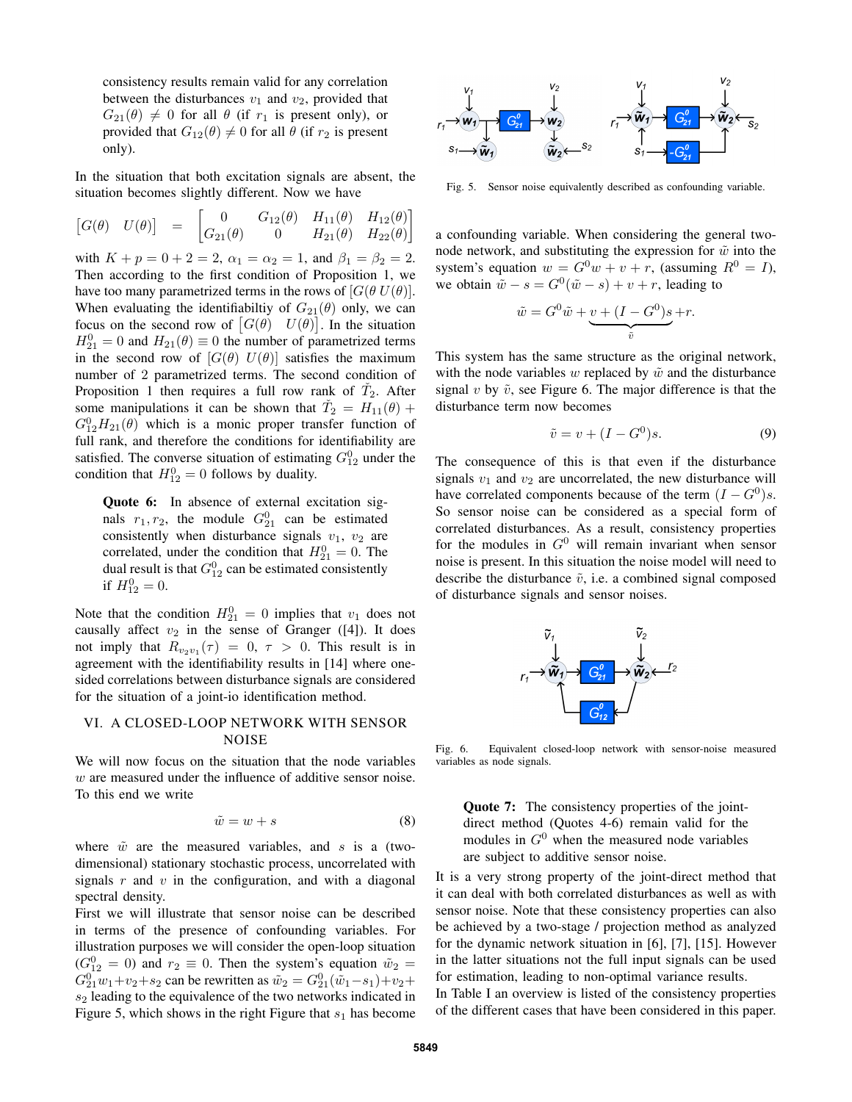consistency results remain valid for any correlation between the disturbances  $v_1$  and  $v_2$ , provided that  $G_{21}(\theta) \neq 0$  for all  $\theta$  (if  $r_1$  is present only), or provided that  $G_{12}(\theta) \neq 0$  for all  $\theta$  (if  $r_2$  is present only).

In the situation that both excitation signals are absent, the situation becomes slightly different. Now we have

$$
\begin{bmatrix} G(\theta) & U(\theta) \end{bmatrix} = \begin{bmatrix} 0 & G_{12}(\theta) & H_{11}(\theta) & H_{12}(\theta) \\ G_{21}(\theta) & 0 & H_{21}(\theta) & H_{22}(\theta) \end{bmatrix}
$$

with  $K + p = 0 + 2 = 2$ ,  $\alpha_1 = \alpha_2 = 1$ , and  $\beta_1 = \beta_2 = 2$ . Then according to the first condition of Proposition 1, we have too many parametrized terms in the rows of  $[G(\theta U(\theta))]$ . When evaluating the identifiabiltiy of  $G_{21}(\theta)$  only, we can focus on the second row of  $[G(\theta) \quad U(\theta)]$ . In the situation  $H_{21}^0 = 0$  and  $H_{21}(\theta) \equiv 0$  the number of parametrized terms in the second row of  $[G(\theta) U(\theta)]$  satisfies the maximum number of 2 parametrized terms. The second condition of Proposition 1 then requires a full row rank of  $\check{T}_2$ . After some manipulations it can be shown that  $\tilde{T}_2 = H_{11}(\theta) +$  $G_{12}^0 H_{21}(\theta)$  which is a monic proper transfer function of full rank, and therefore the conditions for identifiability are satisfied. The converse situation of estimating  $G_{12}^0$  under the condition that  $H_{12}^0 = 0$  follows by duality.

Quote 6: In absence of external excitation signals  $r_1, r_2$ , the module  $G_{21}^0$  can be estimated consistently when disturbance signals  $v_1$ ,  $v_2$  are correlated, under the condition that  $H_{21}^0 = 0$ . The dual result is that  $G_{12}^0$  can be estimated consistently if  $H_{12}^0 = 0$ .

Note that the condition  $H_{21}^0 = 0$  implies that  $v_1$  does not causally affect  $v_2$  in the sense of Granger ([4]). It does not imply that  $R_{v_2v_1}(\tau) = 0, \tau > 0$ . This result is in agreement with the identifiability results in [14] where onesided correlations between disturbance signals are considered for the situation of a joint-io identification method.

# VI. A CLOSED-LOOP NETWORK WITH SENSOR **NOISE**

We will now focus on the situation that the node variables w are measured under the influence of additive sensor noise. To this end we write

$$
\tilde{w} = w + s \tag{8}
$$

where  $\tilde{w}$  are the measured variables, and s is a (twodimensional) stationary stochastic process, uncorrelated with signals  $r$  and  $v$  in the configuration, and with a diagonal spectral density.

First we will illustrate that sensor noise can be described in terms of the presence of confounding variables. For illustration purposes we will consider the open-loop situation  $(G_{12}^0 = 0)$  and  $r_2 \equiv 0$ . Then the system's equation  $\tilde{w}_2 =$  $G_{21}^0 w_1 + v_2 + s_2$  can be rewritten as  $\tilde{w}_2 = G_{21}^0 (\tilde{w}_1 - s_1) + v_2 +$  $s<sub>2</sub>$  leading to the equivalence of the two networks indicated in Figure 5, which shows in the right Figure that  $s_1$  has become



Fig. 5. Sensor noise equivalently described as confounding variable.

a confounding variable. When considering the general twonode network, and substituting the expression for  $\tilde{w}$  into the system's equation  $w = G^0 w + v + r$ , (assuming  $R^0 = I$ ), we obtain  $\tilde{w} - s = G^0(\tilde{w} - s) + v + r$ , leading to

$$
\tilde{w} = G^0 \tilde{w} + \underbrace{v + (I - G^0)s}_{\tilde{v}} + r.
$$

This system has the same structure as the original network, with the node variables w replaced by  $\tilde{w}$  and the disturbance signal v by  $\tilde{v}$ , see Figure 6. The major difference is that the disturbance term now becomes

$$
\tilde{v} = v + (I - G^0)s.
$$
\n(9)

The consequence of this is that even if the disturbance signals  $v_1$  and  $v_2$  are uncorrelated, the new disturbance will have correlated components because of the term  $(I - G^0)s$ . So sensor noise can be considered as a special form of correlated disturbances. As a result, consistency properties for the modules in  $G^0$  will remain invariant when sensor noise is present. In this situation the noise model will need to describe the disturbance  $\tilde{v}$ , i.e. a combined signal composed of disturbance signals and sensor noises.



Fig. 6. Equivalent closed-loop network with sensor-noise measured variables as node signals.

Quote 7: The consistency properties of the jointdirect method (Quotes 4-6) remain valid for the modules in  $G^0$  when the measured node variables are subject to additive sensor noise.

It is a very strong property of the joint-direct method that it can deal with both correlated disturbances as well as with sensor noise. Note that these consistency properties can also be achieved by a two-stage / projection method as analyzed for the dynamic network situation in [6], [7], [15]. However in the latter situations not the full input signals can be used for estimation, leading to non-optimal variance results.

In Table I an overview is listed of the consistency properties of the different cases that have been considered in this paper.